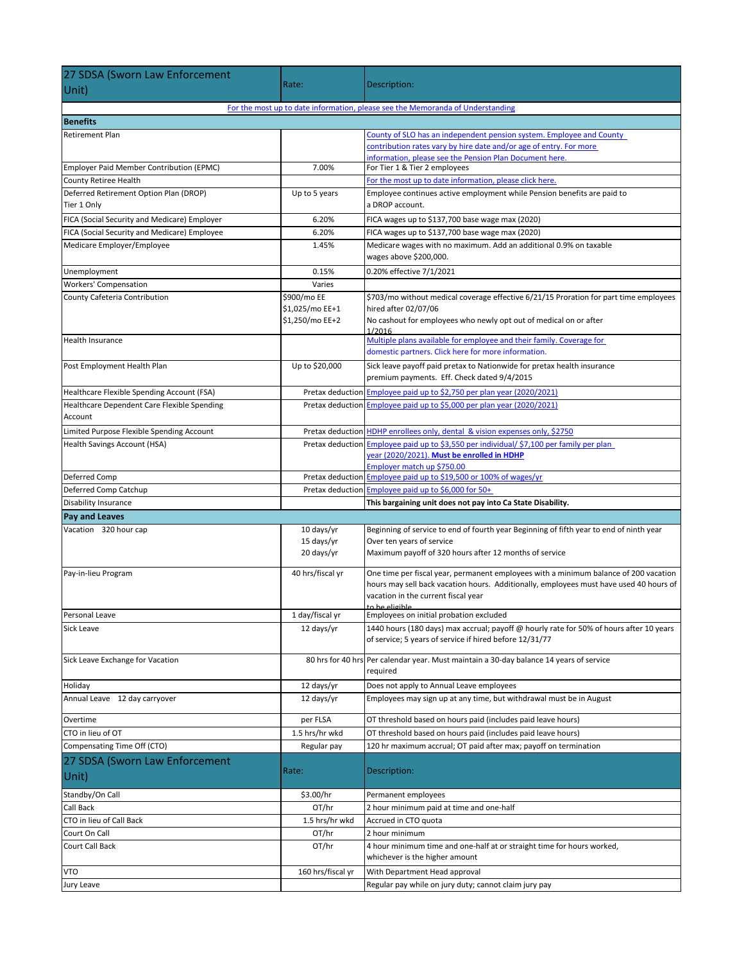| 27 SDSA (Sworn Law Enforcement                        |                          |                                                                                                                                                    |
|-------------------------------------------------------|--------------------------|----------------------------------------------------------------------------------------------------------------------------------------------------|
| Unit)                                                 | Rate:                    | Description:                                                                                                                                       |
|                                                       |                          | For the most up to date information, please see the Memoranda of Understanding                                                                     |
| <b>Benefits</b>                                       |                          |                                                                                                                                                    |
| <b>Retirement Plan</b>                                |                          | County of SLO has an independent pension system. Employee and County                                                                               |
|                                                       |                          | contribution rates vary by hire date and/or age of entry. For more                                                                                 |
|                                                       |                          | information, please see the Pension Plan Document here.                                                                                            |
| Employer Paid Member Contribution (EPMC)              | 7.00%                    | For Tier 1 & Tier 2 employees                                                                                                                      |
| County Retiree Health                                 |                          | For the most up to date information, please click here.                                                                                            |
| Deferred Retirement Option Plan (DROP)<br>Tier 1 Only | Up to 5 years            | Employee continues active employment while Pension benefits are paid to<br>a DROP account.                                                         |
| FICA (Social Security and Medicare) Employer          | 6.20%                    | FICA wages up to \$137,700 base wage max (2020)                                                                                                    |
| FICA (Social Security and Medicare) Employee          | 6.20%                    | FICA wages up to \$137,700 base wage max (2020)                                                                                                    |
| Medicare Employer/Employee                            | 1.45%                    | Medicare wages with no maximum. Add an additional 0.9% on taxable<br>wages above \$200,000.                                                        |
| Unemployment                                          | 0.15%                    | 0.20% effective 7/1/2021                                                                                                                           |
| <b>Workers' Compensation</b>                          | Varies                   |                                                                                                                                                    |
| County Cafeteria Contribution                         | \$900/mo EE              | \$703/mo without medical coverage effective 6/21/15 Proration for part time employees                                                              |
|                                                       | \$1,025/mo EE+1          | hired after 02/07/06                                                                                                                               |
|                                                       | \$1,250/mo EE+2          | No cashout for employees who newly opt out of medical on or after                                                                                  |
| <b>Health Insurance</b>                               |                          | 1/2016<br>Multiple plans available for employee and their family. Coverage for                                                                     |
|                                                       |                          | domestic partners. Click here for more information.                                                                                                |
| Post Employment Health Plan                           | Up to \$20,000           | Sick leave payoff paid pretax to Nationwide for pretax health insurance                                                                            |
|                                                       |                          | premium payments. Eff. Check dated 9/4/2015                                                                                                        |
| Healthcare Flexible Spending Account (FSA)            |                          | Pretax deduction Employee paid up to \$2,750 per plan year (2020/2021)                                                                             |
| Healthcare Dependent Care Flexible Spending           | Pretax deduction         | Employee paid up to \$5,000 per plan year (2020/2021)                                                                                              |
| Account                                               |                          |                                                                                                                                                    |
| Limited Purpose Flexible Spending Account             |                          | Pretax deduction HDHP enrollees only, dental & vision expenses only, \$2750                                                                        |
| <b>Health Savings Account (HSA)</b>                   |                          | Pretax deduction Employee paid up to \$3,550 per individual/ \$7,100 per family per plan                                                           |
|                                                       |                          | year (2020/2021). Must be enrolled in HDHP                                                                                                         |
| Deferred Comp                                         |                          | Employer match up \$750.00<br>Pretax deduction Employee paid up to \$19,500 or 100% of wages/yr                                                    |
| Deferred Comp Catchup                                 |                          | Pretax deduction Employee paid up to \$6,000 for 50+                                                                                               |
| Disability Insurance                                  |                          | This bargaining unit does not pay into Ca State Disability.                                                                                        |
| <b>Pay and Leaves</b>                                 |                          |                                                                                                                                                    |
| Vacation 320 hour cap                                 | 10 days/yr               | Beginning of service to end of fourth year Beginning of fifth year to end of ninth year                                                            |
|                                                       | 15 days/yr<br>20 days/yr | Over ten years of service<br>Maximum payoff of 320 hours after 12 months of service                                                                |
|                                                       |                          |                                                                                                                                                    |
| Pay-in-lieu Program                                   | 40 hrs/fiscal yr         | One time per fiscal year, permanent employees with a minimum balance of 200 vacation                                                               |
|                                                       |                          | hours may sell back vacation hours. Additionally, employees must have used 40 hours of                                                             |
|                                                       |                          | vacation in the current fiscal year<br>to he eligihle                                                                                              |
| Personal Leave                                        | 1 day/fiscal yr          | Employees on initial probation excluded                                                                                                            |
| Sick Leave                                            | 12 days/yr               | 1440 hours (180 days) max accrual; payoff @ hourly rate for 50% of hours after 10 years<br>of service; 5 years of service if hired before 12/31/77 |
|                                                       |                          |                                                                                                                                                    |
| Sick Leave Exchange for Vacation                      |                          | 80 hrs for 40 hrs Per calendar year. Must maintain a 30-day balance 14 years of service                                                            |
|                                                       |                          | required                                                                                                                                           |
| Holiday                                               | 12 days/yr               | Does not apply to Annual Leave employees                                                                                                           |
| Annual Leave 12 day carryover                         | 12 days/yr               | Employees may sign up at any time, but withdrawal must be in August                                                                                |
| Overtime                                              | per FLSA                 | OT threshold based on hours paid (includes paid leave hours)                                                                                       |
| CTO in lieu of OT                                     | 1.5 hrs/hr wkd           | OT threshold based on hours paid (includes paid leave hours)                                                                                       |
| Compensating Time Off (CTO)                           | Regular pay              | 120 hr maximum accrual; OT paid after max; payoff on termination                                                                                   |
| 27 SDSA (Sworn Law Enforcement                        |                          |                                                                                                                                                    |
| Unit)                                                 | Rate:                    | Description:                                                                                                                                       |
| Standby/On Call                                       | \$3.00/hr                | Permanent employees                                                                                                                                |
| Call Back                                             | OT/hr                    | 2 hour minimum paid at time and one-half                                                                                                           |
| CTO in lieu of Call Back                              | 1.5 hrs/hr wkd           | Accrued in CTO quota                                                                                                                               |
| Court On Call                                         | OT/hr                    | 2 hour minimum                                                                                                                                     |
| Court Call Back                                       | OT/hr                    | 4 hour minimum time and one-half at or straight time for hours worked,<br>whichever is the higher amount                                           |
| <b>VTO</b>                                            | 160 hrs/fiscal yr        | With Department Head approval                                                                                                                      |
| Jury Leave                                            |                          | Regular pay while on jury duty; cannot claim jury pay                                                                                              |
|                                                       |                          |                                                                                                                                                    |